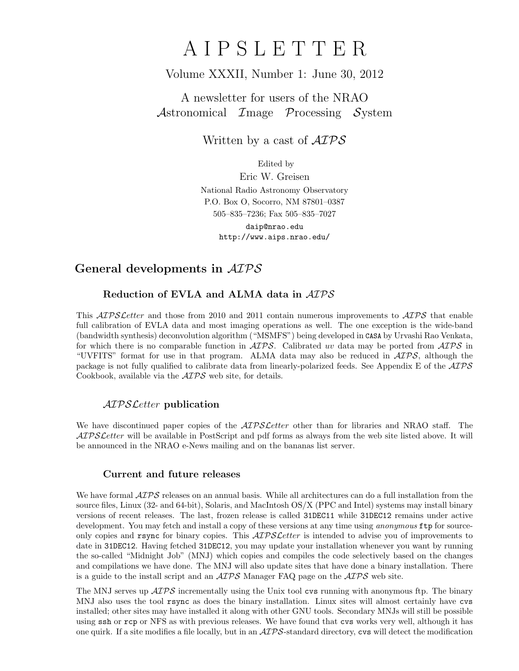# A I P S L E T T E R

## Volume XXXII, Number 1: June 30, 2012

A newsletter for users of the NRAO Astronomical Image Processing System

Written by a cast of  $\mathcal{AIPS}$ 

Edited by

Eric W. Greisen National Radio Astronomy Observatory P.O. Box O, Socorro, NM 87801–0387 505–835–7236; Fax 505–835–7027

daip@nrao.edu http://www.aips.nrao.edu/

# General developments in AIPS

## Reduction of EVLA and ALMA data in AIPS

This *AIPS Letter* and those from 2010 and 2011 contain numerous improvements to *AIPS* that enable full calibration of EVLA data and most imaging operations as well. The one exception is the wide-band (bandwidth synthesis) deconvolution algorithm ("MSMFS") being developed in CASA by Urvashi Rao Venkata, for which there is no comparable function in  $\langle \angle LPS \rangle$ . Calibrated uv data may be ported from  $\langle \angle LPS \rangle$  in "UVFITS" format for use in that program. ALMA data may also be reduced in  $\mathcal{AIPS}$ , although the package is not fully qualified to calibrate data from linearly-polarized feeds. See Appendix E of the  $\mathcal{AIPS}$ Cookbook, available via the AIPS web site, for details.

## AIPSLetter publication

We have discontinued paper copies of the  $ATPSLetter$  other than for libraries and NRAO staff. The AIPS Letter will be available in PostScript and pdf forms as always from the web site listed above. It will be announced in the NRAO e-News mailing and on the bananas list server.

## Current and future releases

We have formal  $\mathcal{AIPS}$  releases on an annual basis. While all architectures can do a full installation from the source files, Linux (32- and 64-bit), Solaris, and MacIntosh OS/X (PPC and Intel) systems may install binary versions of recent releases. The last, frozen release is called 31DEC11 while 31DEC12 remains under active development. You may fetch and install a copy of these versions at any time using *anonymous* ftp for sourceonly copies and rsync for binary copies. This  $\mathcal{AIPS}\mathcal{L}etter$  is intended to advise you of improvements to date in 31DEC12. Having fetched 31DEC12, you may update your installation whenever you want by running the so-called "Midnight Job" (MNJ) which copies and compiles the code selectively based on the changes and compilations we have done. The MNJ will also update sites that have done a binary installation. There is a guide to the install script and an  $\mathcal{AIPS}$  Manager FAQ page on the  $\mathcal{AIPS}$  web site.

The MNJ serves up  $\mathcal{A} \mathcal{I} \mathcal{P} \mathcal{S}$  incrementally using the Unix tool cvs running with anonymous ftp. The binary MNJ also uses the tool rsync as does the binary installation. Linux sites will almost certainly have cvs installed; other sites may have installed it along with other GNU tools. Secondary MNJs will still be possible using ssh or rcp or NFS as with previous releases. We have found that cvs works very well, although it has one quirk. If a site modifies a file locally, but in an  $\mathcal{AIPS}$ -standard directory, cvs will detect the modification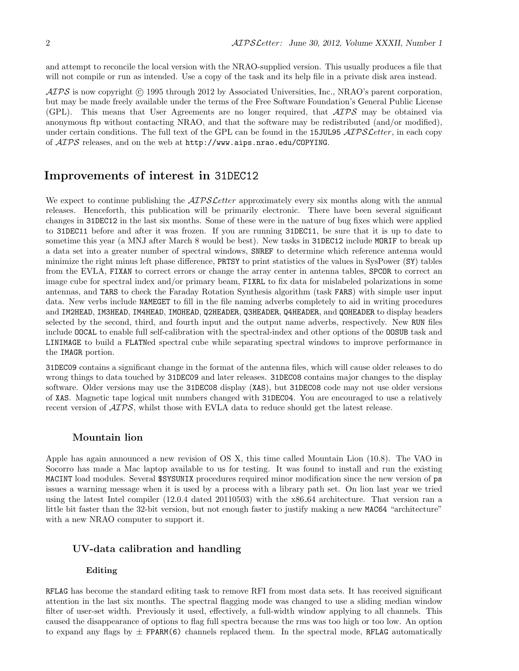and attempt to reconcile the local version with the NRAO-supplied version. This usually produces a file that will not compile or run as intended. Use a copy of the task and its help file in a private disk area instead.

 $\langle \mathcal{A} \mathcal{P} \mathcal{S} \rangle$  is now copyright (c) 1995 through 2012 by Associated Universities, Inc., NRAO's parent corporation, but may be made freely available under the terms of the Free Software Foundation's General Public License (GPL). This means that User Agreements are no longer required, that AIPS may be obtained via anonymous ftp without contacting NRAO, and that the software may be redistributed (and/or modified), under certain conditions. The full text of the GPL can be found in the 15JUL95  $ATPSLetter$ , in each copy of AIPS releases, and on the web at http://www.aips.nrao.edu/COPYING.

### Improvements of interest in 31DEC12

We expect to continue publishing the *AIPS Letter* approximately every six months along with the annual releases. Henceforth, this publication will be primarily electronic. There have been several significant changes in 31DEC12 in the last six months. Some of these were in the nature of bug fixes which were applied to 31DEC11 before and after it was frozen. If you are running 31DEC11, be sure that it is up to date to sometime this year (a MNJ after March 8 would be best). New tasks in 31DEC12 include MORIF to break up a data set into a greater number of spectral windows, SNREF to determine which reference antenna would minimize the right minus left phase difference, PRTSY to print statistics of the values in SysPower (SY) tables from the EVLA, FIXAN to correct errors or change the array center in antenna tables, SPCOR to correct an image cube for spectral index and/or primary beam, FIXRL to fix data for mislabeled polarizations in some antennas, and TARS to check the Faraday Rotation Synthesis algorithm (task FARS) with simple user input data. New verbs include NAMEGET to fill in the file naming adverbs completely to aid in writing procedures and IM2HEAD, IM3HEAD, IM4HEAD, IMOHEAD, Q2HEADER, Q3HEADER, Q4HEADER, and QOHEADER to display headers selected by the second, third, and fourth input and the output name adverbs, respectively. New RUN files include OOCAL to enable full self-calibration with the spectral-index and other options of the OOSUB task and LINIMAGE to build a FLATNed spectral cube while separating spectral windows to improve performance in the IMAGR portion.

31DEC09 contains a significant change in the format of the antenna files, which will cause older releases to do wrong things to data touched by 31DEC09 and later releases. 31DEC08 contains major changes to the display software. Older versions may use the 31DEC08 display (XAS), but 31DEC08 code may not use older versions of XAS. Magnetic tape logical unit numbers changed with 31DEC04. You are encouraged to use a relatively recent version of  $\mathcal{A} \mathcal{I} \mathcal{P} \mathcal{S}$ , whilst those with EVLA data to reduce should get the latest release.

#### Mountain lion

Apple has again announced a new revision of OS X, this time called Mountain Lion (10.8). The VAO in Socorro has made a Mac laptop available to us for testing. It was found to install and run the existing MACINT load modules. Several \$SYSUNIX procedures required minor modification since the new version of ps issues a warning message when it is used by a process with a library path set. On lion last year we tried using the latest Intel compiler (12.0.4 dated 20110503) with the x86 64 architecture. That version ran a little bit faster than the 32-bit version, but not enough faster to justify making a new MAC64 "architecture" with a new NRAO computer to support it.

#### UV-data calibration and handling

#### Editing

RFLAG has become the standard editing task to remove RFI from most data sets. It has received significant attention in the last six months. The spectral flagging mode was changed to use a sliding median window filter of user-set width. Previously it used, effectively, a full-width window applying to all channels. This caused the disappearance of options to flag full spectra because the rms was too high or too low. An option to expand any flags by  $\pm$  FPARM(6) channels replaced them. In the spectral mode, RFLAG automatically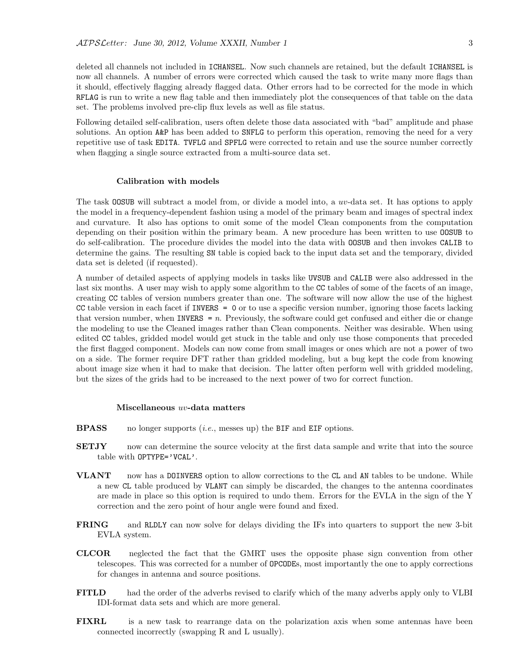deleted all channels not included in ICHANSEL. Now such channels are retained, but the default ICHANSEL is now all channels. A number of errors were corrected which caused the task to write many more flags than it should, effectively flagging already flagged data. Other errors had to be corrected for the mode in which RFLAG is run to write a new flag table and then immediately plot the consequences of that table on the data set. The problems involved pre-clip flux levels as well as file status.

Following detailed self-calibration, users often delete those data associated with "bad" amplitude and phase solutions. An option A&P has been added to SNFLG to perform this operation, removing the need for a very repetitive use of task EDITA. TVFLG and SPFLG were corrected to retain and use the source number correctly when flagging a single source extracted from a multi-source data set.

#### Calibration with models

The task OOSUB will subtract a model from, or divide a model into, a uv-data set. It has options to apply the model in a frequency-dependent fashion using a model of the primary beam and images of spectral index and curvature. It also has options to omit some of the model Clean components from the computation depending on their position within the primary beam. A new procedure has been written to use OOSUB to do self-calibration. The procedure divides the model into the data with OOSUB and then invokes CALIB to determine the gains. The resulting SN table is copied back to the input data set and the temporary, divided data set is deleted (if requested).

A number of detailed aspects of applying models in tasks like UVSUB and CALIB were also addressed in the last six months. A user may wish to apply some algorithm to the CC tables of some of the facets of an image, creating CC tables of version numbers greater than one. The software will now allow the use of the highest CC table version in each facet if INVERS = 0 or to use a specific version number, ignoring those facets lacking that version number, when INVERS =  $n$ . Previously, the software could get confused and either die or change the modeling to use the Cleaned images rather than Clean components. Neither was desirable. When using edited CC tables, gridded model would get stuck in the table and only use those components that preceded the first flagged component. Models can now come from small images or ones which are not a power of two on a side. The former require DFT rather than gridded modeling, but a bug kept the code from knowing about image size when it had to make that decision. The latter often perform well with gridded modeling, but the sizes of the grids had to be increased to the next power of two for correct function.

#### Miscellaneous uv-data matters

- **BPASS** no longer supports  $(i.e.,$  messes up) the BIF and EIF options.
- **SETJY** now can determine the source velocity at the first data sample and write that into the source table with OPTYPE='VCAL'.
- VLANT now has a DOINVERS option to allow corrections to the CL and AN tables to be undone. While a new CL table produced by VLANT can simply be discarded, the changes to the antenna coordinates are made in place so this option is required to undo them. Errors for the EVLA in the sign of the Y correction and the zero point of hour angle were found and fixed.
- FRING and RLDLY can now solve for delays dividing the IFs into quarters to support the new 3-bit EVLA system.
- CLCOR neglected the fact that the GMRT uses the opposite phase sign convention from other telescopes. This was corrected for a number of OPCODEs, most importantly the one to apply corrections for changes in antenna and source positions.
- FITLD had the order of the adverbs revised to clarify which of the many adverbs apply only to VLBI IDI-format data sets and which are more general.
- FIXRL is a new task to rearrange data on the polarization axis when some antennas have been connected incorrectly (swapping R and L usually).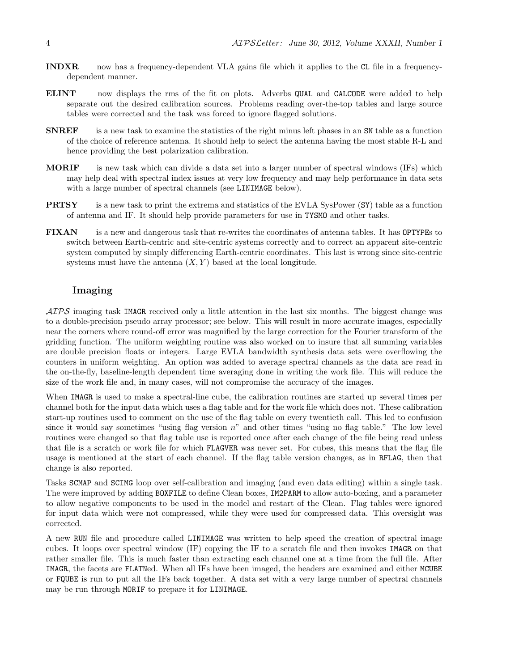- INDXR now has a frequency-dependent VLA gains file which it applies to the CL file in a frequencydependent manner.
- ELINT now displays the rms of the fit on plots. Adverbs QUAL and CALCODE were added to help separate out the desired calibration sources. Problems reading over-the-top tables and large source tables were corrected and the task was forced to ignore flagged solutions.
- SNREF is a new task to examine the statistics of the right minus left phases in an SN table as a function of the choice of reference antenna. It should help to select the antenna having the most stable R-L and hence providing the best polarization calibration.
- MORIF is new task which can divide a data set into a larger number of spectral windows (IFs) which may help deal with spectral index issues at very low frequency and may help performance in data sets with a large number of spectral channels (see LINIMAGE below).
- **PRTSY** is a new task to print the extrema and statistics of the EVLA SysPower (SY) table as a function of antenna and IF. It should help provide parameters for use in TYSMO and other tasks.
- FIXAN is a new and dangerous task that re-writes the coordinates of antenna tables. It has OPTYPEs to switch between Earth-centric and site-centric systems correctly and to correct an apparent site-centric system computed by simply differencing Earth-centric coordinates. This last is wrong since site-centric systems must have the antenna  $(X, Y)$  based at the local longitude.

#### Imaging

 $\mathcal{AIPS}$  imaging task IMAGR received only a little attention in the last six months. The biggest change was to a double-precision pseudo array processor; see below. This will result in more accurate images, especially near the corners where round-off error was magnified by the large correction for the Fourier transform of the gridding function. The uniform weighting routine was also worked on to insure that all summing variables are double precision floats or integers. Large EVLA bandwidth synthesis data sets were overflowing the counters in uniform weighting. An option was added to average spectral channels as the data are read in the on-the-fly, baseline-length dependent time averaging done in writing the work file. This will reduce the size of the work file and, in many cases, will not compromise the accuracy of the images.

When IMAGR is used to make a spectral-line cube, the calibration routines are started up several times per channel both for the input data which uses a flag table and for the work file which does not. These calibration start-up routines used to comment on the use of the flag table on every twentieth call. This led to confusion since it would say sometimes "using flag version  $n$ " and other times "using no flag table." The low level routines were changed so that flag table use is reported once after each change of the file being read unless that file is a scratch or work file for which FLAGVER was never set. For cubes, this means that the flag file usage is mentioned at the start of each channel. If the flag table version changes, as in RFLAG, then that change is also reported.

Tasks SCMAP and SCIMG loop over self-calibration and imaging (and even data editing) within a single task. The were improved by adding BOXFILE to define Clean boxes, IM2PARM to allow auto-boxing, and a parameter to allow negative components to be used in the model and restart of the Clean. Flag tables were ignored for input data which were not compressed, while they were used for compressed data. This oversight was corrected.

A new RUN file and procedure called LINIMAGE was written to help speed the creation of spectral image cubes. It loops over spectral window (IF) copying the IF to a scratch file and then invokes IMAGR on that rather smaller file. This is much faster than extracting each channel one at a time from the full file. After IMAGR, the facets are FLATNed. When all IFs have been imaged, the headers are examined and either MCUBE or FQUBE is run to put all the IFs back together. A data set with a very large number of spectral channels may be run through MORIF to prepare it for LINIMAGE.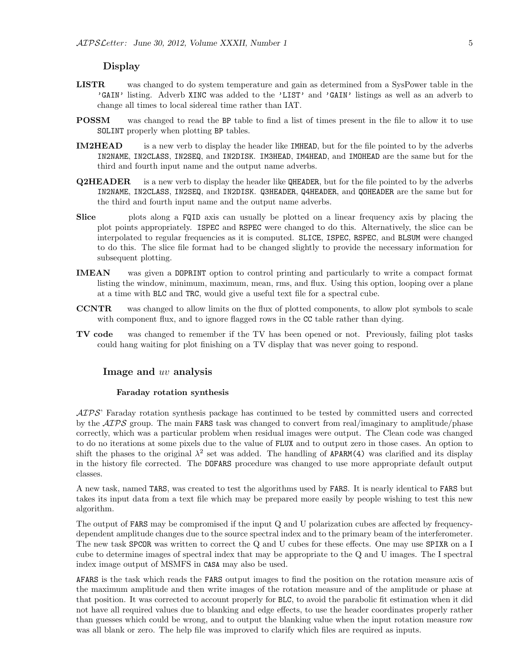#### Display

- LISTR was changed to do system temperature and gain as determined from a SysPower table in the 'GAIN' listing. Adverb XINC was added to the 'LIST' and 'GAIN' listings as well as an adverb to change all times to local sidereal time rather than IAT.
- POSSM was changed to read the BP table to find a list of times present in the file to allow it to use SOLINT properly when plotting BP tables.
- IM2HEAD is a new verb to display the header like IMHEAD, but for the file pointed to by the adverbs IN2NAME, IN2CLASS, IN2SEQ, and IN2DISK. IM3HEAD, IM4HEAD, and IMOHEAD are the same but for the third and fourth input name and the output name adverbs.
- Q2HEADER is a new verb to display the header like QHEADER, but for the file pointed to by the adverbs IN2NAME, IN2CLASS, IN2SEQ, and IN2DISK. Q3HEADER, Q4HEADER, and QOHEADER are the same but for the third and fourth input name and the output name adverbs.
- Slice plots along a FQID axis can usually be plotted on a linear frequency axis by placing the plot points appropriately. ISPEC and RSPEC were changed to do this. Alternatively, the slice can be interpolated to regular frequencies as it is computed. SLICE, ISPEC, RSPEC, and BLSUM were changed to do this. The slice file format had to be changed slightly to provide the necessary information for subsequent plotting.
- IMEAN was given a DOPRINT option to control printing and particularly to write a compact format listing the window, minimum, maximum, mean, rms, and flux. Using this option, looping over a plane at a time with BLC and TRC, would give a useful text file for a spectral cube.
- CCNTR was changed to allow limits on the flux of plotted components, to allow plot symbols to scale with component flux, and to ignore flagged rows in the CC table rather than dying.
- TV code was changed to remember if the TV has been opened or not. Previously, failing plot tasks could hang waiting for plot finishing on a TV display that was never going to respond.

#### Image and uv analysis

#### Faraday rotation synthesis

 $\mathcal{AIPS}$  Faraday rotation synthesis package has continued to be tested by committed users and corrected by the  $\mathcal{AIPS}$  group. The main FARS task was changed to convert from real/imaginary to amplitude/phase correctly, which was a particular problem when residual images were output. The Clean code was changed to do no iterations at some pixels due to the value of FLUX and to output zero in those cases. An option to shift the phases to the original  $\lambda^2$  set was added. The handling of APARM(4) was clarified and its display in the history file corrected. The DOFARS procedure was changed to use more appropriate default output classes.

A new task, named TARS, was created to test the algorithms used by FARS. It is nearly identical to FARS but takes its input data from a text file which may be prepared more easily by people wishing to test this new algorithm.

The output of FARS may be compromised if the input Q and U polarization cubes are affected by frequencydependent amplitude changes due to the source spectral index and to the primary beam of the interferometer. The new task SPCOR was written to correct the Q and U cubes for these effects. One may use SPIXR on a I cube to determine images of spectral index that may be appropriate to the Q and U images. The I spectral index image output of MSMFS in CASA may also be used.

AFARS is the task which reads the FARS output images to find the position on the rotation measure axis of the maximum amplitude and then write images of the rotation measure and of the amplitude or phase at that position. It was corrected to account properly for BLC, to avoid the parabolic fit estimation when it did not have all required values due to blanking and edge effects, to use the header coordinates properly rather than guesses which could be wrong, and to output the blanking value when the input rotation measure row was all blank or zero. The help file was improved to clarify which files are required as inputs.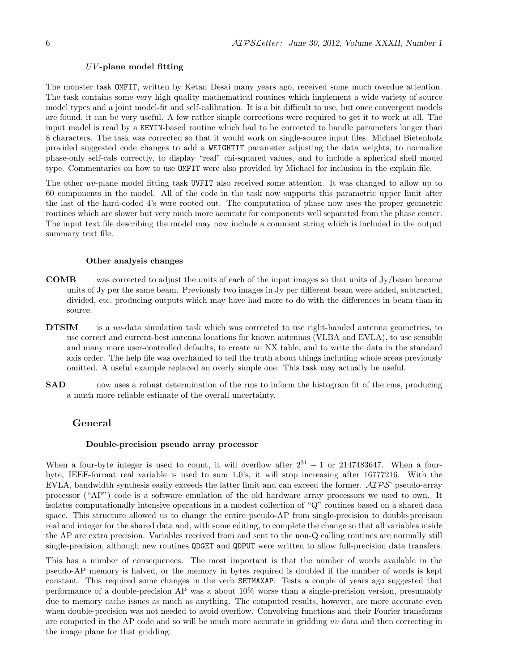#### $UV$ -plane model fitting

The monster task OMFIT, written by Ketan Desai many years ago, received some much overdue attention. The task contains some very high quality mathematical routines which implement a wide variety of source model types and a joint model-fit and self-calibration. It is a bit difficult to use, but once convergent models are found, it can be very useful. A few rather simple corrections were required to get it to work at all. The input model is read by a KEYIN-based routine which had to be corrected to handle parameters longer than 8 characters. The task was corrected so that it would work on single-source input files. Michael Bietenholz provided suggested code changes to add a WEIGHTIT parameter adjusting the data weights, to normalize phase-only self-cals correctly, to display "real" chi-squared values, and to include a spherical shell model type. Commentaries on how to use OMFIT were also provided by Michael for inclusion in the explain file.

The other uv-plane model fitting task UVFIT also received some attention. It was changed to allow up to 60 components in the model. All of the code in the task now supports this parametric upper limit after the last of the hard-coded 4's were rooted out. The computation of phase now uses the proper geometric routines which are slower but very much more accurate for components well separated from the phase center. The input text file describing the model may now include a comment string which is included in the output summary text file.

#### Other analysis changes

- COMB was corrected to adjust the units of each of the input images so that units of Jy/beam become units of Jy per the same beam. Previously two images in Jy per different beam were added, subtracted, divided, etc. producing outputs which may have had more to do with the differences in beam than in source.
- DTSIM is a *uv*-data simulation task which was corrected to use right-handed antenna geometries, to use correct and current-best antenna locations for known antennas (VLBA and EVLA), to use sensible and many more user-controlled defaults, to create an NX table, and to write the data in the standard axis order. The help file was overhauled to tell the truth about things including whole areas previously omitted. A useful example replaced an overly simple one. This task may actually be useful.
- **SAD** now uses a robust determination of the rms to inform the histogram fit of the rms, producing a much more reliable estimate of the overall uncertainty.

#### General

#### Double-precision pseudo array processor

When a four-byte integer is used to count, it will overflow after  $2^{31} - 1$  or 2147483647. When a fourbyte, IEEE-format real variable is used to sum 1.0's, it will stop increasing after 16777216. With the EVLA, bandwidth synthesis easily exceeds the latter limit and can exceed the former.  $\mathcal{AIPS}$ ' pseudo-array processor ("AP") code is a software emulation of the old hardware array processors we used to own. It isolates computationally intensive operations in a modest collection of "Q" routines based on a shared data space. This structure allowed us to change the entire pseudo-AP from single-precision to double-precision real and integer for the shared data and, with some editing, to complete the change so that all variables inside the AP are extra precision. Variables received from and sent to the non-Q calling routines are normally still single-precision, although new routines QDGET and QDPUT were written to allow full-precision data transfers.

This has a number of consequences. The most important is that the number of words available in the pseudo-AP memory is halved, or the memory in bytes required is doubled if the number of words is kept constant. This required some changes in the verb SETMAXAP. Tests a couple of years ago suggested that performance of a double-precision AP was a about 10% worse than a single-precision version, presumably due to memory cache issues as much as anything. The computed results, however, are more accurate even when double-precision was not needed to avoid overflow. Convolving functions and their Fourier transforms are computed in the AP code and so will be much more accurate in gridding uv data and then correcting in the image plane for that gridding.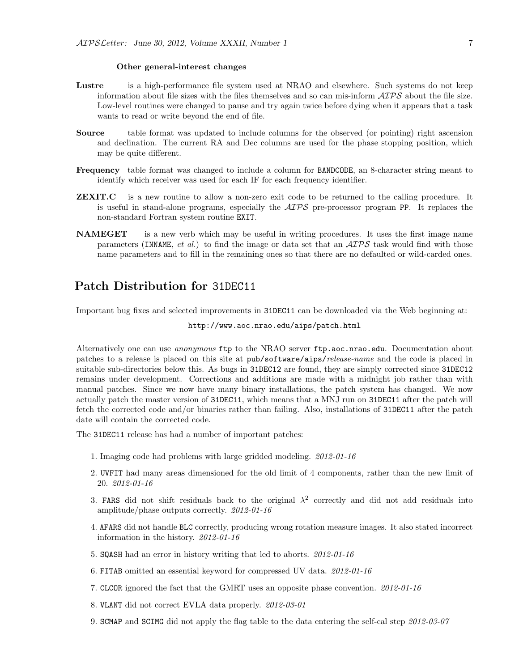#### Other general-interest changes

- Lustre is a high-performance file system used at NRAO and elsewhere. Such systems do not keep information about file sizes with the files themselves and so can mis-inform  $\mathcal{ATPS}$  about the file size. Low-level routines were changed to pause and try again twice before dying when it appears that a task wants to read or write beyond the end of file.
- Source table format was updated to include columns for the observed (or pointing) right ascension and declination. The current RA and Dec columns are used for the phase stopping position, which may be quite different.
- Frequency table format was changed to include a column for BANDCODE, an 8-character string meant to identify which receiver was used for each IF for each frequency identifier.
- **ZEXIT.C** is a new routine to allow a non-zero exit code to be returned to the calling procedure. It is useful in stand-alone programs, especially the  $ATPS$  pre-processor program PP. It replaces the non-standard Fortran system routine EXIT.
- NAMEGET is a new verb which may be useful in writing procedures. It uses the first image name parameters (INNAME, et al.) to find the image or data set that an  $\mathcal{AIPS}$  task would find with those name parameters and to fill in the remaining ones so that there are no defaulted or wild-carded ones.

## Patch Distribution for 31DEC11

Important bug fixes and selected improvements in 31DEC11 can be downloaded via the Web beginning at:

http://www.aoc.nrao.edu/aips/patch.html

Alternatively one can use *anonymous* ftp to the NRAO server ftp.aoc.nrao.edu. Documentation about patches to a release is placed on this site at pub/software/aips/release-name and the code is placed in suitable sub-directories below this. As bugs in 31DEC12 are found, they are simply corrected since 31DEC12 remains under development. Corrections and additions are made with a midnight job rather than with manual patches. Since we now have many binary installations, the patch system has changed. We now actually patch the master version of 31DEC11, which means that a MNJ run on 31DEC11 after the patch will fetch the corrected code and/or binaries rather than failing. Also, installations of 31DEC11 after the patch date will contain the corrected code.

The 31DEC11 release has had a number of important patches:

- 1. Imaging code had problems with large gridded modeling. 2012-01-16
- 2. UVFIT had many areas dimensioned for the old limit of 4 components, rather than the new limit of 20. 2012-01-16
- 3. FARS did not shift residuals back to the original  $\lambda^2$  correctly and did not add residuals into amplitude/phase outputs correctly. 2012-01-16
- 4. AFARS did not handle BLC correctly, producing wrong rotation measure images. It also stated incorrect information in the history. 2012-01-16
- 5. SQASH had an error in history writing that led to aborts. 2012-01-16
- 6. FITAB omitted an essential keyword for compressed UV data. 2012-01-16
- 7. CLCOR ignored the fact that the GMRT uses an opposite phase convention. 2012-01-16
- 8. VLANT did not correct EVLA data properly. 2012-03-01
- 9. SCMAP and SCIMG did not apply the flag table to the data entering the self-cal step 2012-03-07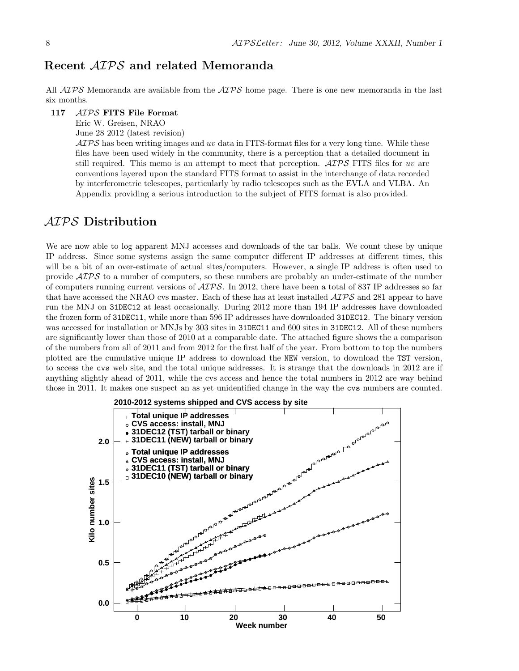## Recent AIPS and related Memoranda

All  $ATPS$  Memoranda are available from the  $ATPS$  home page. There is one new memoranda in the last six months.

#### 117 AIPS FITS File Format

Eric W. Greisen, NRAO

June 28 2012 (latest revision)

 $\mathcal{AIPS}$  has been writing images and uv data in FITS-format files for a very long time. While these files have been used widely in the community, there is a perception that a detailed document in still required. This memo is an attempt to meet that perception.  $\mathcal{AIPS}$  FITS files for uv are conventions layered upon the standard FITS format to assist in the interchange of data recorded by interferometric telescopes, particularly by radio telescopes such as the EVLA and VLBA. An Appendix providing a serious introduction to the subject of FITS format is also provided.

## AIPS Distribution

We are now able to log apparent MNJ accesses and downloads of the tar balls. We count these by unique IP address. Since some systems assign the same computer different IP addresses at different times, this will be a bit of an over-estimate of actual sites/computers. However, a single IP address is often used to provide AIPS to a number of computers, so these numbers are probably an under-estimate of the number of computers running current versions of  $AIPS$ . In 2012, there have been a total of 837 IP addresses so far that have accessed the NRAO cvs master. Each of these has at least installed  $\mathcal{AIPS}$  and 281 appear to have run the MNJ on 31DEC12 at least occasionally. During 2012 more than 194 IP addresses have downloaded the frozen form of 31DEC11, while more than 596 IP addresses have downloaded 31DEC12. The binary version was accessed for installation or MNJs by 303 sites in 31DEC11 and 600 sites in 31DEC12. All of these numbers are significantly lower than those of 2010 at a comparable date. The attached figure shows the a comparison of the numbers from all of 2011 and from 2012 for the first half of the year. From bottom to top the numbers plotted are the cumulative unique IP address to download the NEW version, to download the TST version, to access the cvs web site, and the total unique addresses. It is strange that the downloads in 2012 are if anything slightly ahead of 2011, while the cvs access and hence the total numbers in 2012 are way behind those in 2011. It makes one suspect an as yet unidentified change in the way the cvs numbers are counted.

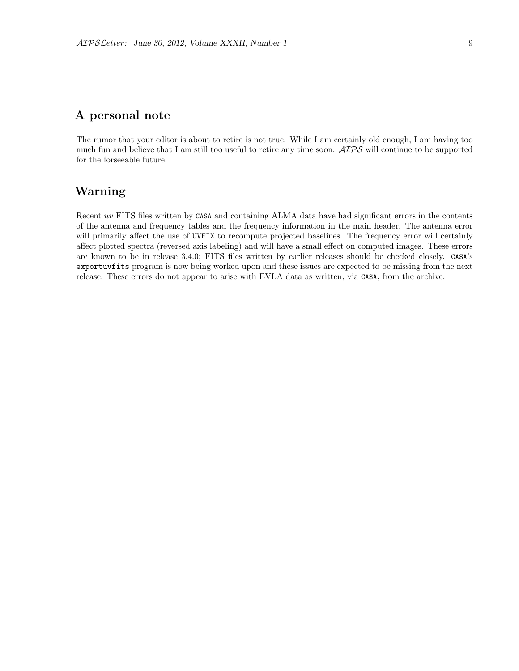## A personal note

The rumor that your editor is about to retire is not true. While I am certainly old enough, I am having too much fun and believe that I am still too useful to retire any time soon.  $\mathcal{AIPS}$  will continue to be supported for the forseeable future.

## Warning

Recent uv FITS files written by CASA and containing ALMA data have had significant errors in the contents of the antenna and frequency tables and the frequency information in the main header. The antenna error will primarily affect the use of UVFIX to recompute projected baselines. The frequency error will certainly affect plotted spectra (reversed axis labeling) and will have a small effect on computed images. These errors are known to be in release 3.4.0; FITS files written by earlier releases should be checked closely. CASA's exportuvfits program is now being worked upon and these issues are expected to be missing from the next release. These errors do not appear to arise with EVLA data as written, via CASA, from the archive.